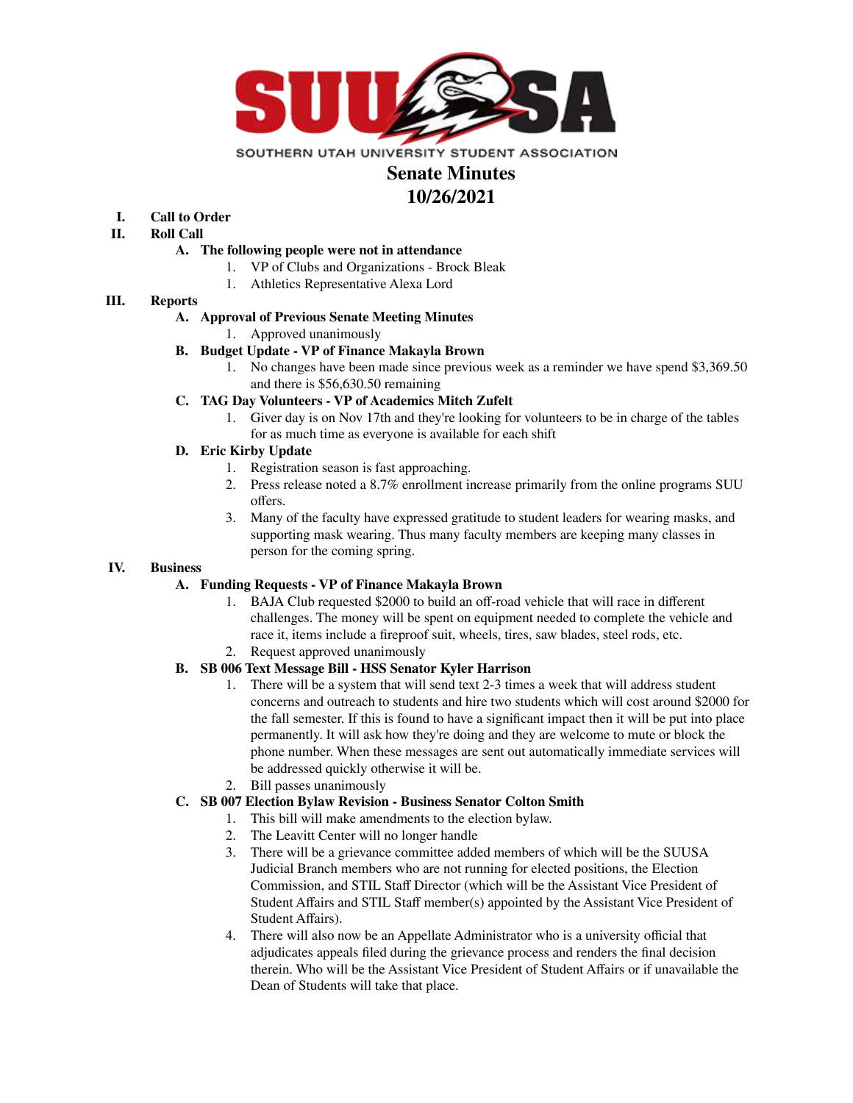

# **Senate Minutes**

# **10/26/2021**

# **I. Call to Order**

- **II. Roll Call**
	- **A. The following people were not in attendance**
		- 1. VP of Clubs and Organizations Brock Bleak
		- 1. Athletics Representative Alexa Lord

# **III. Reports**

# **A. Approval of Previous Senate Meeting Minutes**

- 1. Approved unanimously
- **B. Budget Update - VP of Finance Makayla Brown**
	- 1. No changes have been made since previous week as a reminder we have spend \$3,369.50 and there is \$56,630.50 remaining

# **C. TAG Day Volunteers - VP of Academics Mitch Zufelt**

1. Giver day is on Nov 17th and they're looking for volunteers to be in charge of the tables for as much time as everyone is available for each shift

# **D. Eric Kirby Update**

- 1. Registration season is fast approaching.
- 2. Press release noted a 8.7% enrollment increase primarily from the online programs SUU offers.
- 3. Many of the faculty have expressed gratitude to student leaders for wearing masks, and supporting mask wearing. Thus many faculty members are keeping many classes in person for the coming spring.

#### **IV. Business**

# **A. Funding Requests - VP of Finance Makayla Brown**

- 1. BAJA Club requested \$2000 to build an off-road vehicle that will race in different challenges. The money will be spent on equipment needed to complete the vehicle and race it, items include a fireproof suit, wheels, tires, saw blades, steel rods, etc.
- 2. Request approved unanimously

# **B. SB 006 Text Message Bill - HSS Senator Kyler Harrison**

- 1. There will be a system that will send text 2-3 times a week that will address student concerns and outreach to students and hire two students which will cost around \$2000 for the fall semester. If this is found to have a significant impact then it will be put into place permanently. It will ask how they're doing and they are welcome to mute or block the phone number. When these messages are sent out automatically immediate services will be addressed quickly otherwise it will be.
- 2. Bill passes unanimously

# **C. SB 007 Election Bylaw Revision - Business Senator Colton Smith**

- 1. This bill will make amendments to the election bylaw.
	- 2. The Leavitt Center will no longer handle
	- 3. There will be a grievance committee added members of which will be the SUUSA Judicial Branch members who are not running for elected positions, the Election Commission, and STIL Staff Director (which will be the Assistant Vice President of Student Affairs and STIL Staff member(s) appointed by the Assistant Vice President of Student Affairs).
	- 4. There will also now be an Appellate Administrator who is a university official that adjudicates appeals filed during the grievance process and renders the final decision therein. Who will be the Assistant Vice President of Student Affairs or if unavailable the Dean of Students will take that place.